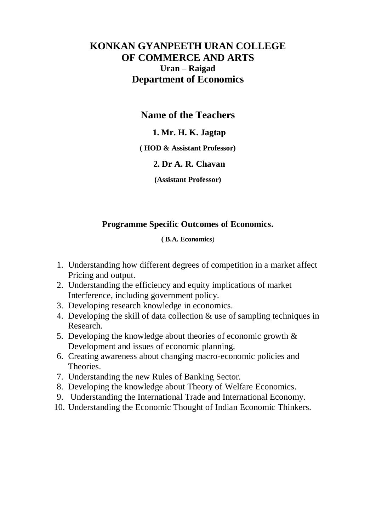# **KONKAN GYANPEETH URAN COLLEGE OF COMMERCE AND ARTS Uran – Raigad Department of Economics**

## **Name of the Teachers**

#### **1. Mr. H. K. Jagtap**

**( HOD & Assistant Professor)**

### **2. Dr A. R. Chavan**

**(Assistant Professor)**

#### **Programme Specific Outcomes of Economics.**

#### **( B.A. Economics**)

- 1. Understanding how different degrees of competition in a market affect Pricing and output.
- 2. Understanding the efficiency and equity implications of market Interference, including government policy.
- 3. Developing research knowledge in economics.
- 4. Developing the skill of data collection & use of sampling techniques in Research.
- 5. Developing the knowledge about theories of economic growth & Development and issues of economic planning.
- 6. Creating awareness about changing macro-economic policies and Theories.
- 7. Understanding the new Rules of Banking Sector.
- 8. Developing the knowledge about Theory of Welfare Economics.
- 9. Understanding the International Trade and International Economy.
- 10. Understanding the Economic Thought of Indian Economic Thinkers.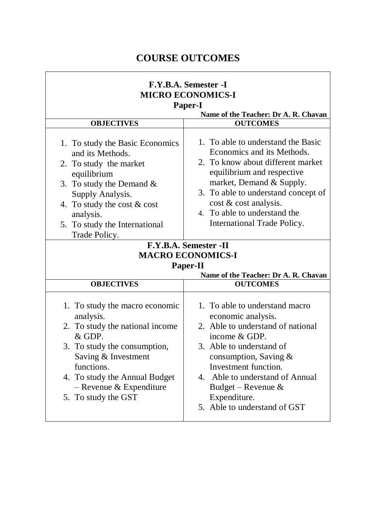# **COURSE OUTCOMES**

| F.Y.B.A. Semester -I<br><b>MICRO ECONOMICS-I</b><br><b>Paper-I</b><br>Name of the Teacher: Dr A. R. Chavan                                                                                                                                         |                                                                                                                                                                                                                                                                                                                                |  |
|----------------------------------------------------------------------------------------------------------------------------------------------------------------------------------------------------------------------------------------------------|--------------------------------------------------------------------------------------------------------------------------------------------------------------------------------------------------------------------------------------------------------------------------------------------------------------------------------|--|
| <b>OBJECTIVES</b>                                                                                                                                                                                                                                  | <b>OUTCOMES</b>                                                                                                                                                                                                                                                                                                                |  |
| 1. To study the Basic Economics<br>and its Methods.<br>2. To study the market<br>equilibrium<br>3. To study the Demand $\&$<br>Supply Analysis.<br>4. To study the cost $& cost$<br>analysis.<br>5. To study the International<br>Trade Policy.    | 1. To able to understand the Basic<br>Economics and its Methods.<br>2. To know about different market<br>equilibrium and respective<br>market, Demand & Supply.<br>3. To able to understand concept of<br>cost & cost analysis.<br>4. To able to understand the<br>International Trade Policy.<br><b>F.Y.B.A. Semester -II</b> |  |
|                                                                                                                                                                                                                                                    | <b>MACRO ECONOMICS-I</b>                                                                                                                                                                                                                                                                                                       |  |
|                                                                                                                                                                                                                                                    |                                                                                                                                                                                                                                                                                                                                |  |
|                                                                                                                                                                                                                                                    | <b>Paper-II</b><br>Name of the Teacher: Dr A. R. Chavan                                                                                                                                                                                                                                                                        |  |
| <b>OBJECTIVES</b>                                                                                                                                                                                                                                  | <b>OUTCOMES</b>                                                                                                                                                                                                                                                                                                                |  |
| 1. To study the macro economic<br>analysis.<br>2. To study the national income<br>& GDP.<br>3. To study the consumption,<br>Saving & Investment<br>functions.<br>4. To study the Annual Budget<br>- Revenue $&$ Expenditure<br>5. To study the GST | 1. To able to understand macro<br>economic analysis.<br>2. Able to understand of national<br>income & GDP.<br>3. Able to understand of<br>consumption, Saving $&$<br>Investment function.<br>4. Able to understand of Annual<br>Budget – Revenue $\&$<br>Expenditure.<br>5. Able to understand of GST                          |  |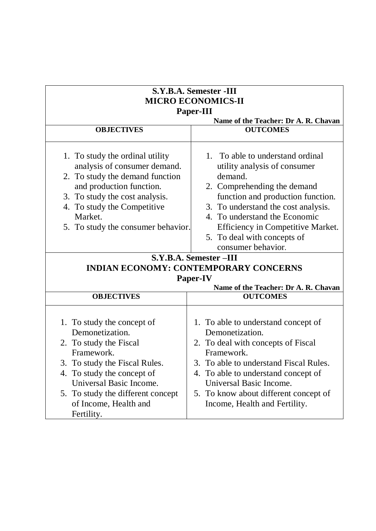| S.Y.B.A. Semester -III<br><b>MICRO ECONOMICS-II</b><br>Paper-III<br>Name of the Teacher: Dr A. R. Chavan                                                                                                                                                    |                                                                                                                                                                                                                                                                                                                   |  |
|-------------------------------------------------------------------------------------------------------------------------------------------------------------------------------------------------------------------------------------------------------------|-------------------------------------------------------------------------------------------------------------------------------------------------------------------------------------------------------------------------------------------------------------------------------------------------------------------|--|
|                                                                                                                                                                                                                                                             |                                                                                                                                                                                                                                                                                                                   |  |
| 1. To study the ordinal utility<br>analysis of consumer demand.<br>2. To study the demand function<br>and production function.<br>3. To study the cost analysis.<br>4. To study the Competitive<br>Market.<br>5. To study the consumer behavior.            | 1. To able to understand ordinal<br>utility analysis of consumer<br>demand.<br>2. Comprehending the demand<br>function and production function.<br>3. To understand the cost analysis.<br>4. To understand the Economic<br>Efficiency in Competitive Market.<br>5. To deal with concepts of<br>consumer behavior. |  |
|                                                                                                                                                                                                                                                             | S.Y.B.A. Semester -III                                                                                                                                                                                                                                                                                            |  |
|                                                                                                                                                                                                                                                             | <b>INDIAN ECONOMY: CONTEMPORARY CONCERNS</b>                                                                                                                                                                                                                                                                      |  |
|                                                                                                                                                                                                                                                             | <b>Paper-IV</b>                                                                                                                                                                                                                                                                                                   |  |
|                                                                                                                                                                                                                                                             | Name of the Teacher: Dr A. R. Chavan                                                                                                                                                                                                                                                                              |  |
| <b>OBJECTIVES</b>                                                                                                                                                                                                                                           | <b>OUTCOMES</b>                                                                                                                                                                                                                                                                                                   |  |
| 1. To study the concept of<br>Demonetization.<br>2. To study the Fiscal<br>Framework.<br>3. To study the Fiscal Rules.<br>4. To study the concept of<br>Universal Basic Income.<br>5. To study the different concept<br>of Income, Health and<br>Fertility. | 1. To able to understand concept of<br>Demonetization.<br>2. To deal with concepts of Fiscal<br>Framework.<br>3. To able to understand Fiscal Rules.<br>4. To able to understand concept of<br>Universal Basic Income.<br>5. To know about different concept of<br>Income, Health and Fertility.                  |  |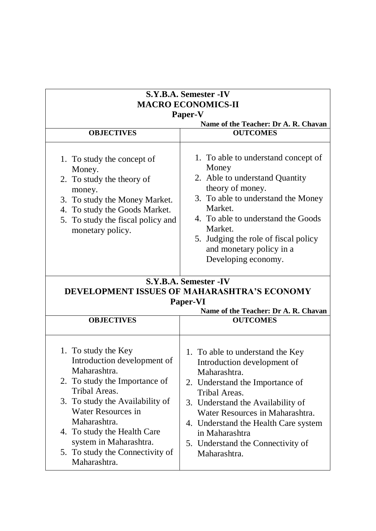| S.Y.B.A. Semester -IV                                                                                                                                                                                                                                                                                     |                                                                                                                                                                                                                                                                                                                            |  |
|-----------------------------------------------------------------------------------------------------------------------------------------------------------------------------------------------------------------------------------------------------------------------------------------------------------|----------------------------------------------------------------------------------------------------------------------------------------------------------------------------------------------------------------------------------------------------------------------------------------------------------------------------|--|
| <b>MACRO ECONOMICS-II</b><br>Paper-V                                                                                                                                                                                                                                                                      |                                                                                                                                                                                                                                                                                                                            |  |
|                                                                                                                                                                                                                                                                                                           |                                                                                                                                                                                                                                                                                                                            |  |
| <b>OBJECTIVES</b>                                                                                                                                                                                                                                                                                         | <b>OUTCOMES</b>                                                                                                                                                                                                                                                                                                            |  |
| 1. To study the concept of<br>Money.<br>2. To study the theory of<br>money.<br>3. To study the Money Market.<br>4. To study the Goods Market.<br>5. To study the fiscal policy and<br>monetary policy.                                                                                                    | 1. To able to understand concept of<br>Money<br>2. Able to understand Quantity<br>theory of money.<br>3. To able to understand the Money<br>Market.<br>4. To able to understand the Goods<br>Market.<br>5. Judging the role of fiscal policy<br>and monetary policy in a<br>Developing economy.                            |  |
|                                                                                                                                                                                                                                                                                                           | S.Y.B.A. Semester -IV                                                                                                                                                                                                                                                                                                      |  |
|                                                                                                                                                                                                                                                                                                           | DEVELOPMENT ISSUES OF MAHARASHTRA'S ECONOMY                                                                                                                                                                                                                                                                                |  |
|                                                                                                                                                                                                                                                                                                           | Paper-VI                                                                                                                                                                                                                                                                                                                   |  |
|                                                                                                                                                                                                                                                                                                           | Name of the Teacher: Dr A. R. Chavan                                                                                                                                                                                                                                                                                       |  |
| <b>OBJECTIVES</b>                                                                                                                                                                                                                                                                                         | <b>OUTCOMES</b>                                                                                                                                                                                                                                                                                                            |  |
|                                                                                                                                                                                                                                                                                                           |                                                                                                                                                                                                                                                                                                                            |  |
| 1. To study the Key<br>Introduction development of<br>Maharashtra.<br>2. To study the Importance of<br>Tribal Areas.<br>3. To study the Availability of<br>Water Resources in<br>Maharashtra.<br>4. To study the Health Care<br>system in Maharashtra.<br>5. To study the Connectivity of<br>Maharashtra. | 1. To able to understand the Key<br>Introduction development of<br>Maharashtra.<br>2. Understand the Importance of<br>Tribal Areas.<br>3. Understand the Availability of<br>Water Resources in Maharashtra.<br>4. Understand the Health Care system<br>in Maharashtra<br>5. Understand the Connectivity of<br>Maharashtra. |  |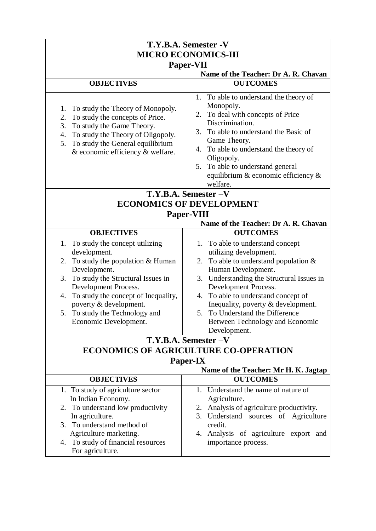| T.Y.B.A. Semester -V<br><b>MICRO ECONOMICS-III</b>                                                                                                                                                                                       |                                                                                                                                                                                                                                                                                                                                    |  |
|------------------------------------------------------------------------------------------------------------------------------------------------------------------------------------------------------------------------------------------|------------------------------------------------------------------------------------------------------------------------------------------------------------------------------------------------------------------------------------------------------------------------------------------------------------------------------------|--|
| Paper-VII                                                                                                                                                                                                                                |                                                                                                                                                                                                                                                                                                                                    |  |
|                                                                                                                                                                                                                                          | Name of the Teacher: Dr A. R. Chavan                                                                                                                                                                                                                                                                                               |  |
| <b>OBJECTIVES</b>                                                                                                                                                                                                                        | <b>OUTCOMES</b>                                                                                                                                                                                                                                                                                                                    |  |
| To study the Theory of Monopoly.<br>1.<br>To study the concepts of Price.<br>2.<br>3.<br>To study the Game Theory.<br>To study the Theory of Oligopoly.<br>4.<br>5. To study the General equilibrium<br>& economic efficiency & welfare. | 1. To able to understand the theory of<br>Monopoly.<br>To deal with concepts of Price<br>2.<br>Discrimination.<br>To able to understand the Basic of<br>3.<br>Game Theory.<br>To able to understand the theory of<br>4.<br>Oligopoly.<br>5. To able to understand general<br>equilibrium $\&$ economic efficiency $\&$<br>welfare. |  |
|                                                                                                                                                                                                                                          | T.Y.B.A. Semester - V                                                                                                                                                                                                                                                                                                              |  |
| <b>ECONOMICS OF DEVELOPMENT</b>                                                                                                                                                                                                          |                                                                                                                                                                                                                                                                                                                                    |  |
|                                                                                                                                                                                                                                          | Paper-VIII                                                                                                                                                                                                                                                                                                                         |  |
|                                                                                                                                                                                                                                          | Name of the Teacher: Dr A. R. Chavan                                                                                                                                                                                                                                                                                               |  |
| <b>OBJECTIVES</b>                                                                                                                                                                                                                        | <b>OUTCOMES</b>                                                                                                                                                                                                                                                                                                                    |  |
| 1. To study the concept utilizing                                                                                                                                                                                                        | 1. To able to understand concept                                                                                                                                                                                                                                                                                                   |  |
| development.                                                                                                                                                                                                                             | utilizing development.                                                                                                                                                                                                                                                                                                             |  |
| To study the population $& Human$<br>2.                                                                                                                                                                                                  | 2. To able to understand population $&$                                                                                                                                                                                                                                                                                            |  |
| Development.                                                                                                                                                                                                                             | Human Development.                                                                                                                                                                                                                                                                                                                 |  |
| 3. To study the Structural Issues in                                                                                                                                                                                                     | 3. Understanding the Structural Issues in                                                                                                                                                                                                                                                                                          |  |
| Development Process.                                                                                                                                                                                                                     | Development Process.                                                                                                                                                                                                                                                                                                               |  |
| 4. To study the concept of Inequality,                                                                                                                                                                                                   | 4. To able to understand concept of                                                                                                                                                                                                                                                                                                |  |
| poverty & development.                                                                                                                                                                                                                   | Inequality, poverty & development.                                                                                                                                                                                                                                                                                                 |  |
| 5. To study the Technology and                                                                                                                                                                                                           | 5. To Understand the Difference                                                                                                                                                                                                                                                                                                    |  |
| Economic Development.                                                                                                                                                                                                                    | Between Technology and Economic                                                                                                                                                                                                                                                                                                    |  |
|                                                                                                                                                                                                                                          | Development.                                                                                                                                                                                                                                                                                                                       |  |
|                                                                                                                                                                                                                                          | T.Y.B.A. Semester - V                                                                                                                                                                                                                                                                                                              |  |
|                                                                                                                                                                                                                                          | <b>ECONOMICS OF AGRICULTURE CO-OPERATION</b>                                                                                                                                                                                                                                                                                       |  |
|                                                                                                                                                                                                                                          | <b>Paper-IX</b>                                                                                                                                                                                                                                                                                                                    |  |
|                                                                                                                                                                                                                                          | Name of the Teacher: Mr H. K. Jagtap                                                                                                                                                                                                                                                                                               |  |
| <b>OBJECTIVES</b>                                                                                                                                                                                                                        | <b>OUTCOMES</b>                                                                                                                                                                                                                                                                                                                    |  |
| 1. To study of agriculture sector                                                                                                                                                                                                        | 1. Understand the name of nature of                                                                                                                                                                                                                                                                                                |  |
| In Indian Economy.                                                                                                                                                                                                                       | Agriculture.                                                                                                                                                                                                                                                                                                                       |  |
| 2. To understand low productivity                                                                                                                                                                                                        | 2. Analysis of agriculture productivity.                                                                                                                                                                                                                                                                                           |  |
| In agriculture.                                                                                                                                                                                                                          | 3. Understand sources of Agriculture                                                                                                                                                                                                                                                                                               |  |
| 3. To understand method of                                                                                                                                                                                                               | credit.                                                                                                                                                                                                                                                                                                                            |  |
| Agriculture marketing.                                                                                                                                                                                                                   | 4. Analysis of agriculture export and                                                                                                                                                                                                                                                                                              |  |
| 4. To study of financial resources                                                                                                                                                                                                       | importance process.                                                                                                                                                                                                                                                                                                                |  |
| For agriculture.                                                                                                                                                                                                                         |                                                                                                                                                                                                                                                                                                                                    |  |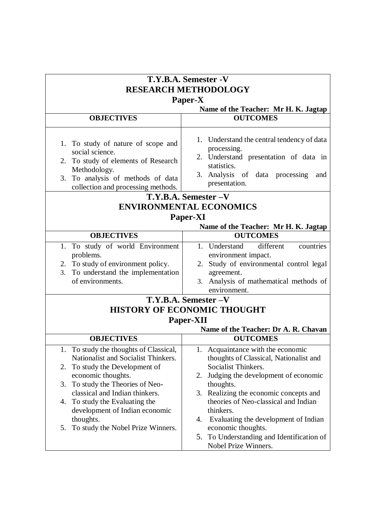| T.Y.B.A. Semester -V<br><b>RESEARCH METHODOLOGY</b>                                                                                                                                                                                                                                                                                           |                                                                                                                                                                                                                                                                                                                                                                                                         |         |
|-----------------------------------------------------------------------------------------------------------------------------------------------------------------------------------------------------------------------------------------------------------------------------------------------------------------------------------------------|---------------------------------------------------------------------------------------------------------------------------------------------------------------------------------------------------------------------------------------------------------------------------------------------------------------------------------------------------------------------------------------------------------|---------|
|                                                                                                                                                                                                                                                                                                                                               |                                                                                                                                                                                                                                                                                                                                                                                                         | Paper-X |
|                                                                                                                                                                                                                                                                                                                                               | Name of the Teacher: Mr H. K. Jagtap                                                                                                                                                                                                                                                                                                                                                                    |         |
| <b>OBJECTIVES</b>                                                                                                                                                                                                                                                                                                                             | <b>OUTCOMES</b>                                                                                                                                                                                                                                                                                                                                                                                         |         |
| 1. To study of nature of scope and<br>social science.<br>2. To study of elements of Research<br>Methodology.<br>3. To analysis of methods of data<br>collection and processing methods.                                                                                                                                                       | 1. Understand the central tendency of data<br>processing.<br>2. Understand presentation of data in<br>statistics.<br>3. Analysis of data processing<br>and<br>presentation.                                                                                                                                                                                                                             |         |
|                                                                                                                                                                                                                                                                                                                                               | T.Y.B.A. Semester - V                                                                                                                                                                                                                                                                                                                                                                                   |         |
| <b>ENVIRONMENTAL ECONOMICS</b>                                                                                                                                                                                                                                                                                                                |                                                                                                                                                                                                                                                                                                                                                                                                         |         |
| Paper-XI                                                                                                                                                                                                                                                                                                                                      |                                                                                                                                                                                                                                                                                                                                                                                                         |         |
|                                                                                                                                                                                                                                                                                                                                               | Name of the Teacher: Mr H. K. Jagtap                                                                                                                                                                                                                                                                                                                                                                    |         |
| <b>OBJECTIVES</b>                                                                                                                                                                                                                                                                                                                             | <b>OUTCOMES</b>                                                                                                                                                                                                                                                                                                                                                                                         |         |
| 1. To study of world Environment<br>problems.<br>2. To study of environment policy.<br>To understand the implementation<br>3.<br>of environments.                                                                                                                                                                                             | different<br>1. Understand<br>countries<br>environment impact.<br>2. Study of environmental control legal<br>agreement.<br>Analysis of mathematical methods of<br>3.<br>environment.                                                                                                                                                                                                                    |         |
|                                                                                                                                                                                                                                                                                                                                               | T.Y.B.A. Semester - V                                                                                                                                                                                                                                                                                                                                                                                   |         |
|                                                                                                                                                                                                                                                                                                                                               | <b>HISTORY OF ECONOMIC THOUGHT</b>                                                                                                                                                                                                                                                                                                                                                                      |         |
|                                                                                                                                                                                                                                                                                                                                               | Paper-XII<br>Name of the Teacher: Dr A. R. Chavan                                                                                                                                                                                                                                                                                                                                                       |         |
| <b>OBJECTIVES</b>                                                                                                                                                                                                                                                                                                                             | <b>OUTCOMES</b>                                                                                                                                                                                                                                                                                                                                                                                         |         |
| 1. To study the thoughts of Classical,<br>Nationalist and Socialist Thinkers.<br>To study the Development of<br>2.<br>economic thoughts.<br>To study the Theories of Neo-<br>3.<br>classical and Indian thinkers.<br>4. To study the Evaluating the<br>development of Indian economic<br>thoughts.<br>To study the Nobel Prize Winners.<br>5. | 1. Acquaintance with the economic<br>thoughts of Classical, Nationalist and<br>Socialist Thinkers.<br>Judging the development of economic<br>2.<br>thoughts.<br>3. Realizing the economic concepts and<br>theories of Neo-classical and Indian<br>thinkers.<br>Evaluating the development of Indian<br>4.<br>economic thoughts.<br>To Understanding and Identification of<br>5.<br>Nobel Prize Winners. |         |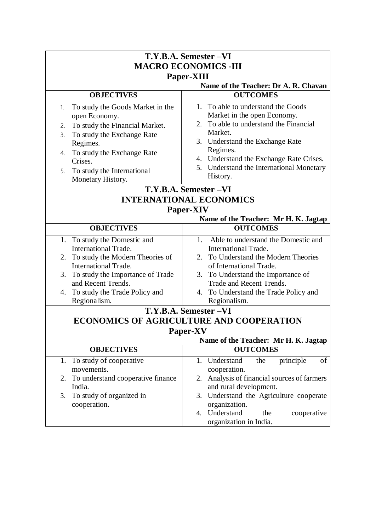|                                                                                                                                                                                                                                                      | T.Y.B.A. Semester -VI                                                                                                                                                                                                                                                    |  |  |
|------------------------------------------------------------------------------------------------------------------------------------------------------------------------------------------------------------------------------------------------------|--------------------------------------------------------------------------------------------------------------------------------------------------------------------------------------------------------------------------------------------------------------------------|--|--|
| <b>MACRO ECONOMICS -III</b>                                                                                                                                                                                                                          |                                                                                                                                                                                                                                                                          |  |  |
| Paper-XIII                                                                                                                                                                                                                                           |                                                                                                                                                                                                                                                                          |  |  |
|                                                                                                                                                                                                                                                      | Name of the Teacher: Dr A. R. Chavan                                                                                                                                                                                                                                     |  |  |
| <b>OBJECTIVES</b>                                                                                                                                                                                                                                    | <b>OUTCOMES</b>                                                                                                                                                                                                                                                          |  |  |
| To study the Goods Market in the<br>1.<br>open Economy.<br>To study the Financial Market.<br>2.<br>To study the Exchange Rate<br>3.<br>Regimes.<br>To study the Exchange Rate<br>4.<br>Crises.<br>To study the International<br>5.                   | 1. To able to understand the Goods<br>Market in the open Economy.<br>2. To able to understand the Financial<br>Market.<br>3. Understand the Exchange Rate<br>Regimes.<br>4. Understand the Exchange Rate Crises.<br>5. Understand the International Monetary<br>History. |  |  |
| Monetary History.                                                                                                                                                                                                                                    |                                                                                                                                                                                                                                                                          |  |  |
| T.Y.B.A. Semester -VI                                                                                                                                                                                                                                |                                                                                                                                                                                                                                                                          |  |  |
| <b>INTERNATIONAL ECONOMICS</b><br>Paper-XIV                                                                                                                                                                                                          |                                                                                                                                                                                                                                                                          |  |  |
|                                                                                                                                                                                                                                                      | Name of the Teacher: Mr H. K. Jagtap                                                                                                                                                                                                                                     |  |  |
| <b>OBJECTIVES</b>                                                                                                                                                                                                                                    | <b>OUTCOMES</b>                                                                                                                                                                                                                                                          |  |  |
| 1. To study the Domestic and<br><b>International Trade.</b><br>To study the Modern Theories of<br>2.<br><b>International Trade.</b><br>3. To study the Importance of Trade<br>and Recent Trends.<br>4. To study the Trade Policy and<br>Regionalism. | Able to understand the Domestic and<br>1.<br><b>International Trade.</b><br>2. To Understand the Modern Theories<br>of International Trade.<br>3. To Understand the Importance of<br>Trade and Recent Trends.<br>4. To Understand the Trade Policy and<br>Regionalism.   |  |  |
|                                                                                                                                                                                                                                                      | T.Y.B.A. Semester -VI                                                                                                                                                                                                                                                    |  |  |
|                                                                                                                                                                                                                                                      | ECONOMICS OF AGRICULTURE AND COOPERATION                                                                                                                                                                                                                                 |  |  |
|                                                                                                                                                                                                                                                      | <b>Paper-XV</b>                                                                                                                                                                                                                                                          |  |  |
|                                                                                                                                                                                                                                                      | Name of the Teacher: Mr H. K. Jagtap                                                                                                                                                                                                                                     |  |  |
| <b>OBJECTIVES</b>                                                                                                                                                                                                                                    | <b>OUTCOMES</b>                                                                                                                                                                                                                                                          |  |  |
| To study of cooperative<br>1.<br>movements.<br>To understand cooperative finance<br>2.<br>India.<br>To study of organized in<br>3.                                                                                                                   | Understand<br>principle<br>of<br>1.<br>the<br>cooperation.<br>Analysis of financial sources of farmers<br>2.<br>and rural development.<br>3. Understand the Agriculture cooperate                                                                                        |  |  |
| cooperation.                                                                                                                                                                                                                                         | organization.<br>Understand<br>the<br>cooperative<br>4.<br>organization in India.                                                                                                                                                                                        |  |  |